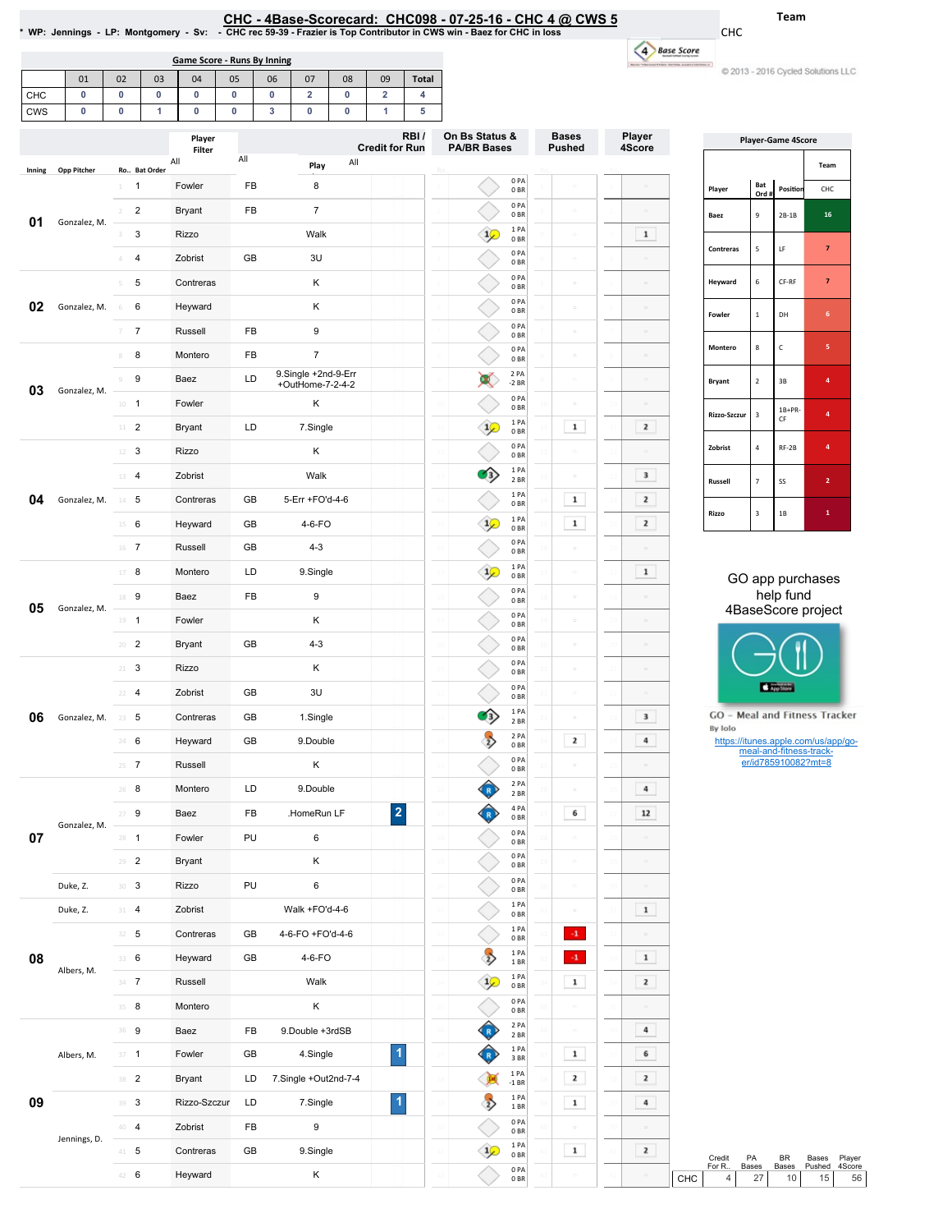CHC - 4Base-Scorecard: CHC098 - 07-25-16 - CHC 4 @ CWS 5 ـ CHC + 4D.<br>WP: Jennings - LP: Montgomery - Sv: - CHC rec 59-39 - Frazier is Top Contributor in CWS win - Baez for CHC in loss \*

|            | Game Score - Runs By Inning |    |    |    |    |    |    |    |    |              |  |  |  |  |
|------------|-----------------------------|----|----|----|----|----|----|----|----|--------------|--|--|--|--|
|            | 01                          | 02 | 03 | 04 | 05 | 06 | 07 | 08 | 09 | <b>Total</b> |  |  |  |  |
| CHC        |                             |    |    |    |    |    |    |    |    |              |  |  |  |  |
| <b>CWS</b> |                             |    |    |    |    |    |    |    |    |              |  |  |  |  |

42 6 Heyward K

|        |                    |                |                   | Player<br>Filter<br>All | All | All<br>Play          | RBI/<br><b>Credit for Run</b> | On Bs Status &<br><b>PA/BR Bases</b> |                |                         | <b>Bases</b><br><b>Pushed</b>  | Player<br>4Score                   |             |
|--------|--------------------|----------------|-------------------|-------------------------|-----|----------------------|-------------------------------|--------------------------------------|----------------|-------------------------|--------------------------------|------------------------------------|-------------|
| Inning | <b>Opp Pitcher</b> | 1.             | Ro Bat Order<br>1 | Fowler                  | FB  | 8                    |                               |                                      |                | 0PA                     | $\Box$                         |                                    |             |
|        |                    | $\mathfrak{D}$ | $\overline{2}$    | Bryant                  | FB  | $\overline{7}$       |                               |                                      |                | 0 <sub>BR</sub><br>0PA  |                                |                                    | Play        |
| 01     | Gonzalez, M.       | 3              | 3                 | Rizzo                   |     | Walk                 |                               |                                      |                | 0 <sub>BR</sub><br>1PA  |                                | ${\bf 1}$                          | Baez        |
|        |                    | $\Delta$       | 4                 | Zobrist                 | GB  | 3U                   |                               |                                      |                | 0 <sub>BR</sub><br>0PA  | $\Box$                         |                                    | Cont        |
|        |                    | 5              | 5                 | Contreras               |     | Κ                    |                               |                                      |                | 0 <sub>BR</sub><br>0PA  | $\Box$                         |                                    | <b>Heyv</b> |
| 02     | Gonzalez, M.       | 6              | 6                 | Heyward                 |     | κ                    |                               |                                      |                | 0 <sub>BR</sub><br>0PA  | $\hfill \square$               |                                    |             |
|        |                    | 7              | $\boldsymbol{7}$  | Russell                 | FB  | 9                    |                               |                                      |                | 0 <sub>BR</sub><br>0PA  | $\equiv$                       |                                    | Fowl        |
|        |                    |                | 8                 | Montero                 | FB  | $\boldsymbol{7}$     |                               |                                      |                | 0 <sub>BR</sub><br>0PA  | $\equiv$                       |                                    | Mon         |
|        |                    | 8              |                   | Baez                    | LD  | 9.Single +2nd-9-Err  |                               |                                      |                | 0 <sub>BR</sub><br>2 PA |                                |                                    |             |
| 03     | Gonzalez, M.       | 9              | 9                 |                         |     | +OutHome-7-2-4-2     |                               |                                      |                | $-2$ BR<br>0PA          |                                |                                    | Brya        |
|        |                    |                | $10 - 1$          | Fowler                  |     | κ                    |                               |                                      |                | 0 <sub>BR</sub><br>1PA  |                                |                                    | Rizzo       |
|        |                    | $11 -$         | $\overline{2}$    | Bryant                  | LD  | 7.Single             |                               |                                      | $\frac{1}{2}$  | 0 <sub>BR</sub><br>0PA  | $\mathbf 1$                    | 2                                  | Zobr        |
|        |                    | 12             | 3                 | <b>Rizzo</b>            |     | κ                    |                               |                                      |                | 0 <sub>BR</sub><br>1 PA |                                |                                    |             |
|        |                    | 13             | $\overline{4}$    | Zobrist                 |     | Walk                 |                               |                                      | ó,             | 2 BR<br>1 PA            | $\alpha$                       | 3                                  | Russ        |
| 04     | Gonzalez, M.       | $14 - 5$       |                   | Contreras               | GB  | 5-Err +FO'd-4-6      |                               |                                      |                | 0 <sub>BR</sub><br>1PA  | $\mathbf 1$                    | 2                                  | Rizzo       |
|        |                    | 15             | 6                 | Heyward                 | GB  | 4-6-FO               |                               |                                      | $\frac{1}{2}$  | 0 <sub>BR</sub><br>0PA  | $\mathbf 1$                    | $\mathbf{2}% ^{T}(\mathbf{1}_{T})$ |             |
|        |                    |                | 16 7              | Russell                 | GB  | $4 - 3$              |                               |                                      |                | 0 <sub>BR</sub><br>1 PA |                                |                                    |             |
|        |                    | 17             | 8                 | Montero                 | LD  | 9.Single             |                               |                                      | $\frac{1}{2}$  | 0 <sub>BR</sub>         | $\Box$                         | ${\bf 1}$                          |             |
| 05     | Gonzalez, M.       | 18             | 9                 | Baez                    | FB  | 9                    |                               |                                      |                | 0PA<br>0 <sub>BR</sub>  | $\Box$                         |                                    |             |
|        |                    |                | $19 - 1$          | Fowler                  |     | Κ                    |                               |                                      |                | 0PA<br>0 <sub>BR</sub>  | $\Box$                         |                                    |             |
|        |                    | 20             | $\overline{2}$    | <b>Bryant</b>           | GB  | $4 - 3$              |                               |                                      |                | 0PA<br>0 <sub>BR</sub>  | $\equiv$                       |                                    |             |
|        |                    | $21 -$         | 3                 | <b>Rizzo</b>            |     | κ                    |                               |                                      |                | 0PA<br>0 <sub>BR</sub>  |                                |                                    |             |
|        |                    | 22             | $\overline{4}$    | Zobrist                 | GB  | 3U                   |                               |                                      |                | 0PA<br>0 <sub>BR</sub>  | $\Box$                         |                                    |             |
| 06     | Gonzalez, M.       | 23             | 5                 | Contreras               | GB  | 1.Single             |                               |                                      | $\rightarrow$  | 1 PA<br>2 BR            | $\Box$                         | 3                                  | GO<br>By I  |
|        |                    | 24             | 6                 | Heyward                 | GB  | 9.Double             |                               |                                      | $\overline{z}$ | 2 PA<br>0 <sub>BR</sub> | 2                              | 4                                  | $ht$        |
|        |                    | 25             | $\overline{7}$    | Russell                 |     | κ                    |                               |                                      |                | 0PA<br>0 <sub>BR</sub>  | $\Box$                         |                                    |             |
|        |                    | 26             | 8                 | Montero                 | LD  | 9.Double             |                               |                                      |                | 2 PA<br>2 BR            |                                | 4                                  |             |
|        |                    | 27             | 9                 | Baez                    | FB  | .HomeRun LF          | $\overline{2}$                |                                      | R              | 4 PA<br>0 <sub>BR</sub> | 6                              | 12                                 |             |
| 07     | Gonzalez, M.       |                | $28 - 1$          | Fowler                  | PU  | 6                    |                               |                                      |                | 0PA<br>0 <sub>BR</sub>  |                                |                                    |             |
|        |                    |                | $29 - 2$          | Bryant                  |     | Κ                    |                               |                                      |                | 0PA<br>0 <sub>BR</sub>  |                                |                                    |             |
|        | Duke, Z.           |                | $30-3$            | Rizzo                   | PU  | 6                    |                               |                                      |                | 0PA<br>0 <sub>BR</sub>  | $\Box$                         |                                    |             |
|        | Duke, Z.           |                | $31 - 4$          | Zobrist                 |     | Walk +FO'd-4-6       |                               |                                      |                | 1PA<br>0 <sub>BR</sub>  |                                | $\mathbf 1$                        |             |
|        |                    | 32             | 5                 | Contreras               | GB  | 4-6-FO +FO'd-4-6     |                               |                                      |                | 1PA<br>0 <sub>BR</sub>  | $\cdot 1$                      |                                    |             |
| 08     |                    |                | 33 6              | Heyward                 | GB  | 4-6-FO               |                               |                                      | $\overline{z}$ | 1PA<br>1BR              | $\left\langle 1 \right\rangle$ | $\mathbf 1$                        |             |
|        | Albers, M.         |                | $34 - 7$          | Russell                 |     | Walk                 |                               |                                      | $\frac{1}{2}$  | 1PA<br>0 <sub>BR</sub>  | $\mathbf 1$                    | 2                                  |             |
|        |                    |                | 35 8              | Montero                 |     | Κ                    |                               |                                      |                | 0PA<br>0 <sub>BR</sub>  |                                |                                    |             |
|        |                    |                | 36 9              | Baez                    | FB  | 9.Double +3rdSB      |                               |                                      |                | 2PA<br>2 BR             |                                | 4                                  |             |
|        | Albers, M.         |                | $37 - 1$          | Fowler                  | GB  | 4.Single             | 1                             |                                      |                | 1PA<br>3BR              | $\mathbf 1$                    | 6                                  |             |
|        |                    |                | 38 <sup>2</sup>   | Bryant                  | LD  | 7.Single +Out2nd-7-4 |                               |                                      |                | 1 PA                    | 2                              | 2                                  |             |
| 09     |                    |                | 39 3              | Rizzo-Szczur            | LD  | 7.Single             | $\overline{\mathbf{1}}$       |                                      |                | $-1$ BR<br>1PA          | $\mathbf 1$                    | 4                                  |             |
|        |                    |                | 40 4              | Zobrist                 | FB  | 9                    |                               | $\bar{q}$                            |                | 1 BR<br>0PA             |                                |                                    |             |
|        | Jennings, D.       |                |                   |                         | GB  |                      |                               |                                      |                | 0 <sub>BR</sub><br>1PA  | $\mathbf 1$                    | 2                                  |             |
|        |                    |                | 41 5              | Contreras               |     | 9.Single             |                               |                                      | $\frac{1}{2}$  | 0 <sub>BR</sub>         |                                |                                    | Creo        |

42

0PA 0BR

42

42

| Player        | Bat<br>Ord #            | Position       | CHC            |
|---------------|-------------------------|----------------|----------------|
| Baez          | 9                       | $2B-1B$        | 16             |
| Contreras     | 5                       | LF             | $\overline{7}$ |
| Heyward       | 6                       | CF-RF          | $\overline{7}$ |
| Fowler        | $\mathbf{1}$            | DH             | 6              |
| Montero       | 8                       | C              | 5              |
| <b>Bryant</b> | $\overline{2}$          | 3B             | 4              |
| Rizzo-Szczur  | $\overline{\mathbf{3}}$ | $1B+PR-$<br>CF | 4              |
| Zobrist       | 4                       | $RF-2B$        | 4              |
| Russell       | $\overline{7}$          | SS             | $\overline{2}$ |
| Rizzo         | 3                       | 1B             | $\mathbf{1}$   |

### GO app purchases help fund 4BaseScore project



0 - Meal and Fitness Tracker lolo

https://itunes.apple.com/us/app/go-meal-and-fitness-track-er/id785910082?mt=8

Team

CHC

u)

4 Base Score

C 2013 - 2016 Cycled Solutions LLC

Player-Game 4Score

Team

Credit ForR.. PA Bases BR Bases Bases Pushed Player 4Score CHC 4 27 10 15 56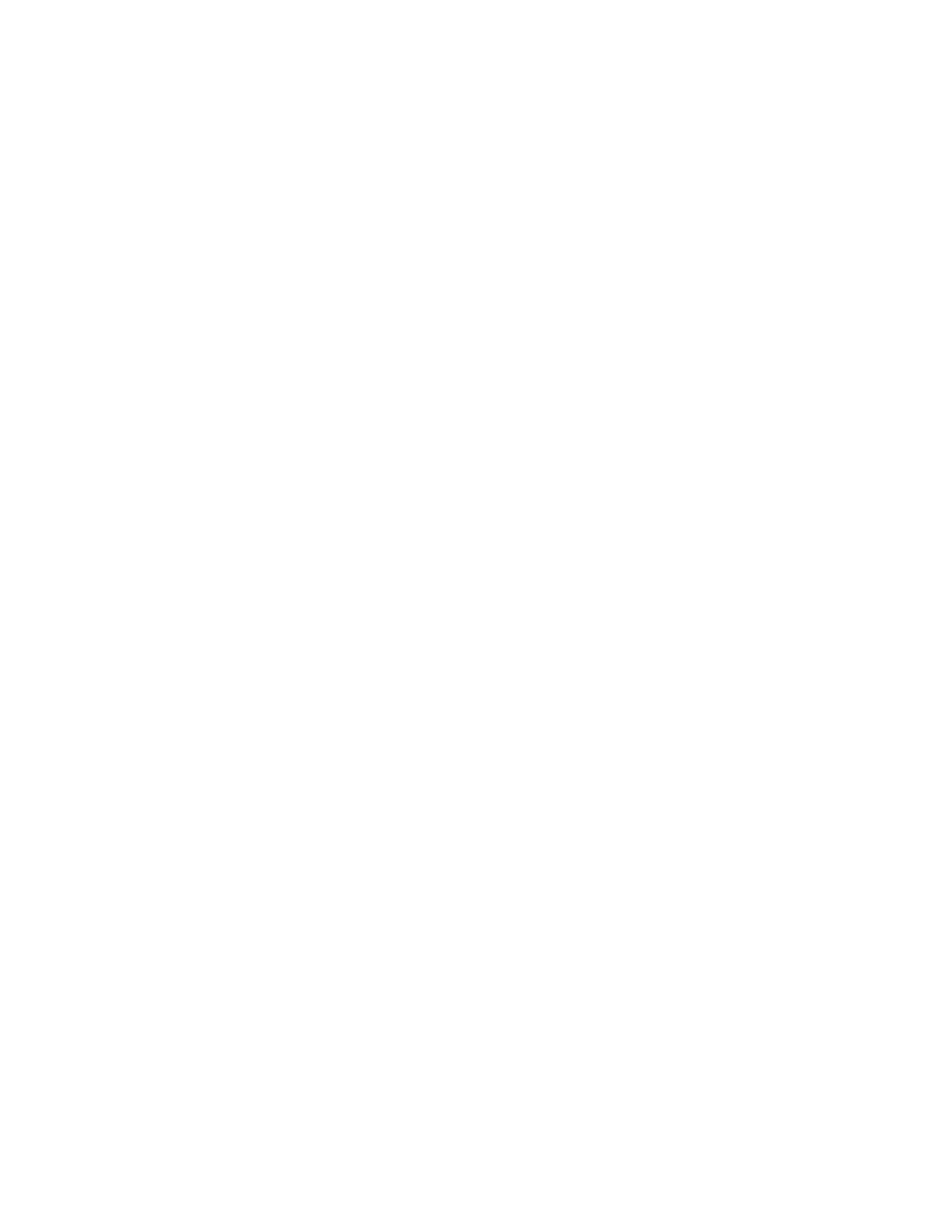|                  |           |             | ' u ^ } OEr Zuv• C/vv]vP |              |          |                                     |                      |                |       |                 |         |       |                                                 |                                        |                          |                                                        |  |  |  |
|------------------|-----------|-------------|--------------------------|--------------|----------|-------------------------------------|----------------------|----------------|-------|-----------------|---------|-------|-------------------------------------------------|----------------------------------------|--------------------------|--------------------------------------------------------|--|--|--|
| ìí               | ìî        | ìï          | ìð                       | ìñ           | ìò       | ìó                                  | ìô                   | ìõ             | d}šo  |                 |         |       |                                                 |                                        |                          |                                                        |  |  |  |
| $8 + 8$<br>8:6   |           |             |                          |              |          |                                     |                      |                |       |                 |         |       |                                                 |                                        |                          |                                                        |  |  |  |
|                  |           |             |                          |              |          |                                     |                      |                | $5\%$ | 2 Q%V 6 VDWV    | %DVHV   | 30 NU |                                                 |                                        |                          |                                                        |  |  |  |
|                  |           |             | Wo Ç Œ<br>&još Œ         | $^\circledR$ |          |                                     |                      | & UHGLWIRU5 XQ |       | 3\$ %5 %DVHV    | 3 XVKHG | 6FRUH |                                                 |                                        | WoÇŒ u ð^}Œ              |                                                        |  |  |  |
| /vv]vP K‰W)\$ZOE |           | Z} XX ŠKŒ C | $\pmb{\circledcirc}$     |              |          | WoÇ                                 | $\pmb{\circledcirc}$ |                |       | i W             |         |       |                                                 |                                        |                          | d u                                                    |  |  |  |
|                  |           |             | ) RZ ONU                 |              | ) %      |                                     |                      |                |       | $i$ Z<br>i W    |         |       | Wb Ç Œ                                          | š<br>KŒ                                | ۷۷∙JŸ}                   |                                                        |  |  |  |
| '}vÌ oÌLDX-      |           |             | <b>VIOLAN</b>            |              | ) %      |                                     |                      |                |       | i Z<br>í W      |         |       | Ì.                                              | õ                                      | îń                       | íò                                                     |  |  |  |
|                  |           |             | $5 \,\sharp\,$ R         |              |          | $:$ DON                             |                      |                |       | i Z             |         |       | } všOEOE•                                       | ñ                                      | $\mathbin{{\rtimes}}$    | ó                                                      |  |  |  |
|                  | ð         |             | $=$ REUMV                |              | $*$ %    | 8                                   |                      |                |       | i W<br>ì Z      |         |       |                                                 |                                        |                          |                                                        |  |  |  |
|                  | ñ         |             | & ROWHUDV                |              |          | $\cdot$                             |                      |                |       | i W<br>i Z      |         |       | , ÇÁ OE                                         | ò                                      | &Z&                      | ó                                                      |  |  |  |
| '}vÌoÌUDX ò      |           |             | $+HZDUS$                 |              |          | $\sim$                              |                      |                |       | i W<br>ìZ       |         |       | &} Áo Œ                                         | í                                      | $\overline{\phantom{a}}$ |                                                        |  |  |  |
|                  | ó         |             | 5 XVVHO                  |              | ) %      |                                     |                      |                |       | i W<br>ìZ       |         |       |                                                 |                                        |                          |                                                        |  |  |  |
|                  | ô         |             | 0 ROMUR                  |              | ) %      |                                     |                      |                |       | i W<br>i Z      |         |       | D} vš Œ                                         | ô                                      |                          |                                                        |  |  |  |
|                  | õ         |             | %DHJ                     | $\prime$ .   |          | $61QJ$ $6H$ $QG$ $(W)$<br>2 XAIRP H |                      |                |       | îW<br>rî Z      |         |       | 0ÇV Š                                           | î                                      | $\ddot{\text{I}}$        | Ò.                                                     |  |  |  |
| '}vÌ oÌWX-       | íì.       |             | ) RZ ONU                 |              |          | $\sim$                              |                      |                |       | i W<br>i Z      |         |       |                                                 |                                        | $i = WZr$                |                                                        |  |  |  |
|                  | íí        |             | %UDQW                    | $\prime$ .   |          | $61QJ$ $O$                          |                      |                |       | í W<br>i Z      |         |       | zjii}r^i iµd‡ ï                                 |                                        | $\mathbf{g}$             |                                                        |  |  |  |
|                  | íî        |             | $5 \,\sharp\,$ R         |              |          | $\sim$                              |                      |                |       | i W<br>i Z      |         |       | $\bullet$ } Opš                                 | ð                                      | Z&î                      | ð                                                      |  |  |  |
|                  | $-11$     |             | $=$ REUMV                |              |          | $\therefore$ DON                    |                      |                |       | í W<br>$i$ $z$  |         |       | $Z\mu$ <sup>*</sup> $\omega$                    | ó                                      | $\mathsf{v}\mathsf{v}$   | $\mathbb{R}$                                           |  |  |  |
| '}vÌoÌUDX íŏ     |           |             | & ROWHUDV                |              | * $\%$   | $(\mathbb{U})$ 2 G                  |                      |                |       | í W<br>i Z      |         |       |                                                 |                                        |                          |                                                        |  |  |  |
|                  | íñ        |             | $+HZDUS$                 |              | $*$ %    | 2                                   |                      |                |       | í W             |         |       | zjì ì}                                          | $\ddot{\rm I}$                         | $\mathbf{r}$             | $\mathbf{1}$                                           |  |  |  |
|                  | íò        |             | 5 XVMO                   |              | $*$ $\%$ |                                     |                      |                |       | i Z<br>i W      |         |       |                                                 |                                        |                          |                                                        |  |  |  |
|                  | íó        |             | 0 ROMUR                  | $\prime$ .   |          | $61QJ$ $\Theta$                     |                      |                |       | i Z<br>í W      |         |       |                                                 |                                        |                          |                                                        |  |  |  |
|                  |           |             | %DHJ                     |              | ) %      |                                     |                      |                |       | i Z<br>i W      |         |       |                                                 |                                        |                          | * 2 DSS SXUFKDVHV                                      |  |  |  |
| '}vÌ oÌWX-       | íô        |             |                          |              |          |                                     |                      |                |       | i Z<br>i W      |         |       |                                                 | KHOS IXOG<br><b>YDVH6 FRUH SURWIFW</b> |                          |                                                        |  |  |  |
|                  | íõ        |             | ) RZ ONU                 |              |          | $\cdot$                             |                      |                |       | ìZ<br>i W       |         |       |                                                 |                                        |                          |                                                        |  |  |  |
|                  | $\hat{1}$ |             | <b>%UDOW</b>             |              | * $\%$   |                                     |                      |                |       | i Z<br>i W      |         |       |                                                 |                                        |                          |                                                        |  |  |  |
|                  | îí        |             | 54]R                     |              |          | $\bullet$                           |                      |                |       | i Z<br>i W      |         |       |                                                 |                                        |                          |                                                        |  |  |  |
|                  | $-11$     |             | $=$ REUMV                |              | $*$ %    | 8                                   |                      |                |       | ìZ<br>í W       |         |       |                                                 |                                        |                          |                                                        |  |  |  |
| '}vÌ oÌLDX ⊺⊺    |           |             | & ROWHUDV                |              | * %      | $61QJ$ $OH$                         |                      |                |       | $i \, z$        |         |       |                                                 |                                        |                          |                                                        |  |  |  |
|                  |           |             | $+HZDIB$                 |              | $*$ %    | $'$ RXE $\Theta$                    |                      |                |       | îW<br>i Z       |         |       |                                                 |                                        |                          | KWASV LWACHVDSSOH FRP XVDSSJR<br>PHDODOG ILVOHAV VUDEN |  |  |  |
|                  | îñ        |             | 5 XVMO                   |              |          | $\sim$                              |                      |                |       | ì W<br>ìZ       |         |       |                                                 | HUB                                    |                          | "PW                                                    |  |  |  |
|                  | îò        |             | 0 RQMUR                  | $\prime$ .   |          | ' RXE®                              |                      |                |       | îW<br>î Z       |         |       |                                                 |                                        |                          |                                                        |  |  |  |
| '}vÌ oÌWX—       | ÎÓ        |             | $%$ DHJ                  |              | ) %      | $+RP$ H <sub>5</sub> $XQ/$ )        |                      |                |       | ðW<br>ìZ        |         |       |                                                 |                                        |                          |                                                        |  |  |  |
|                  | îô        |             | ) RZ ®IU                 | 38           |          |                                     |                      |                |       | i W<br>ìZ       |         |       |                                                 |                                        |                          |                                                        |  |  |  |
|                  | ÎÕ        |             | <b>VIOLAR</b>            |              |          | $\sim 10^{-1}$                      |                      |                |       | i W<br>i Z      |         |       |                                                 |                                        |                          |                                                        |  |  |  |
| µI U∙X           | $\top$    |             | 5 L ] R                  | 38           |          |                                     |                      |                |       | i W<br>ìZ       |         |       |                                                 |                                        |                          |                                                        |  |  |  |
| µI UX            | ΪĹ        |             | $=$ REUMV                |              |          | $:$ DON $)$ 2 G                     |                      |                |       | í W<br>ìZ       |         |       |                                                 |                                        |                          |                                                        |  |  |  |
|                  | ΪÎ        |             | & ROWHUDV                |              | * %      | ) 2 ) 2 G                           |                      |                |       | i W<br>ìZ       |         |       |                                                 |                                        |                          |                                                        |  |  |  |
|                  | $\pm 1$   |             | +HZDG                    |              | $*$ %    | ) 2                                 |                      |                |       | i W<br>i Z      |         |       |                                                 |                                        |                          |                                                        |  |  |  |
| o GEDX           | ïð        |             | 5 XVVHO                  |              |          | $\therefore$ DON                    |                      |                |       | i W<br>ìZ       |         |       |                                                 |                                        |                          |                                                        |  |  |  |
|                  | īñ        |             | 0 ROMUR                  |              |          | $\sim$                              |                      |                |       | i W<br>$i \, z$ |         |       |                                                 |                                        |                          |                                                        |  |  |  |
|                  | Ϊò        |             | %DHJ                     |              | ) %      | 'RXEOH UG6%                         |                      |                |       | îW<br>îZ        |         |       |                                                 |                                        |                          |                                                        |  |  |  |
| o GELDX          | ïó        |             | ) RZ ONU                 |              | $*$ %    | $61QJ$ $\Theta$                     |                      |                |       | í W             |         |       |                                                 |                                        |                          |                                                        |  |  |  |
|                  | ïô        |             | <b>VIOLAR</b>            | $\prime$ .   |          | 6 LQJ OH 2 XWO G                    |                      |                |       | $i \, z$<br>í W |         |       |                                                 |                                        |                          |                                                        |  |  |  |
|                  | ΪÕ        |             | 54]R6]FJXU /'            |              |          | $61QJ$ $\Theta$                     |                      |                |       | rí Z<br>i W     |         |       |                                                 |                                        |                          |                                                        |  |  |  |
|                  | ðì        |             | $=$ REUMV                |              |          |                                     |                      |                |       | $i$ $z$<br>i W  |         |       |                                                 |                                        |                          |                                                        |  |  |  |
| : vv]vPU X       |           |             |                          |              | ) %      |                                     |                      |                |       | ìZ<br>í W       |         |       |                                                 |                                        |                          |                                                        |  |  |  |
|                  | ðí        |             | & ROWHUDV                |              | $*$ $\%$ | $61QJ$ $\Theta$                     |                      |                |       | i Z<br>ì W      |         |       | &UHGLW 3\$<br>)RU5 %DVHV<br>$)$ RU <sub>5</sub> |                                        | %5<br>%DVHV              | %DMHV 30AHU<br>3XWHG 6FRUH                             |  |  |  |
|                  | ðî        |             | $+HZDUS$                 |              |          | $\epsilon$                          |                      |                |       | ìZ              |         |       | $8 + 8$                                         |                                        |                          |                                                        |  |  |  |

: 3 - HOQLQJV /3 0 ROWIRPHU 6Y  $\frac{8+8}{8+8.0 + 5}$   $\frac{9,000 + 6 \text{ FRU} \text{ FDUS} - 8 + 8}{1,000 + 100 \text{ N}}$   $\frac{8+8}{1000 + 100 \text{ N}}$   $\frac{8+8}{1000 + 100 \text{ N}}$ 

 $d$  u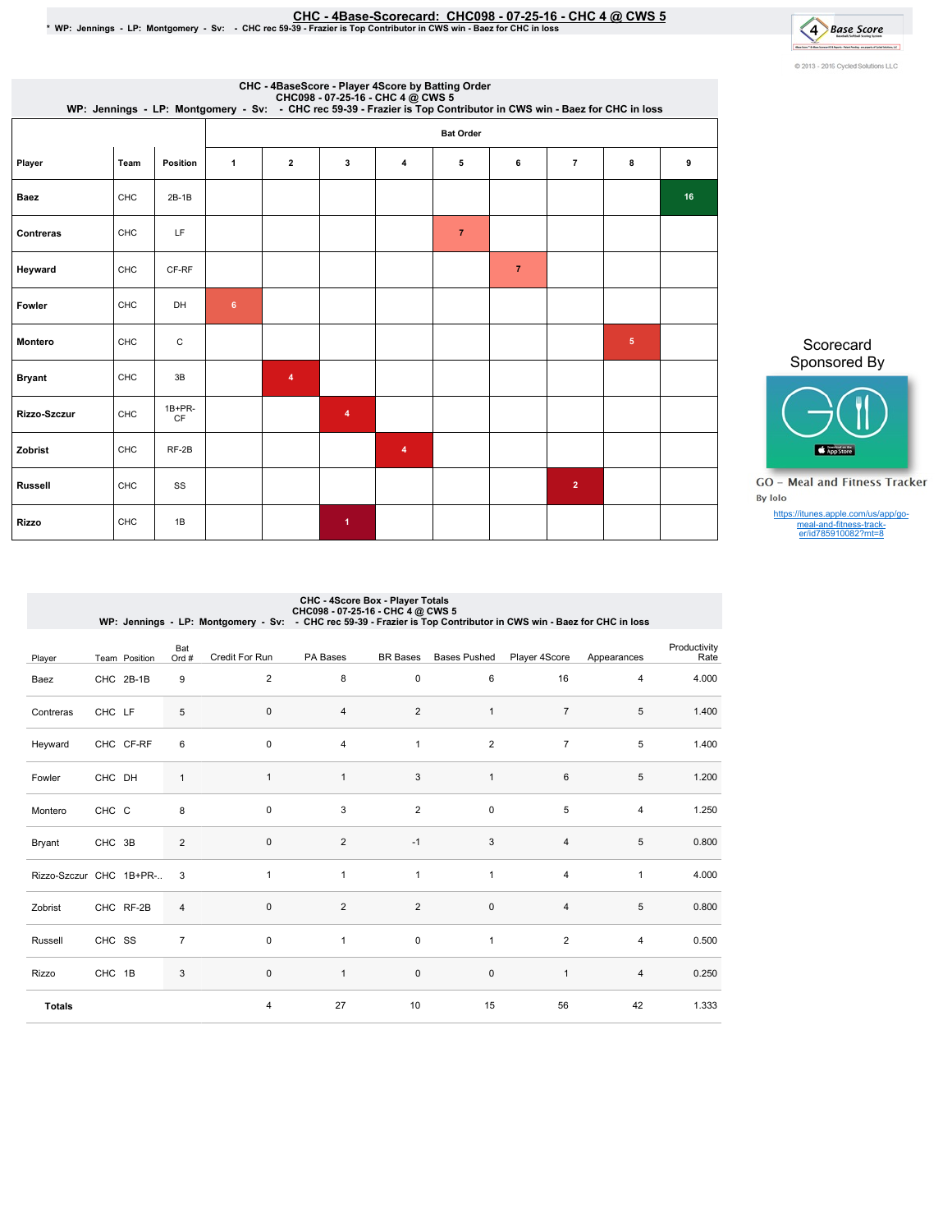EHC - 4Base-Scorecard: CHC098 - 07-25-16 - CHC 4 @ CWS 5 هـ CHC - 4Base-Scorecard: CHC098 - 07-25-16 - CHC 4<br>WP: Jennings - LP: Montgomery - Sv: - CHC rec 59-39 - Frazier is Top Contributor in CWS win - Baez for CHC in l



|                | CHC - 4BaseScore - Player 4Score by Batting Order<br>CHC098 - 07-25-16 - CHC 4 @ CWS 5<br>WP: Jennings - LP: Montgomery - Sv: - CHC rec 59-39 - Frazier is Top Contributor in CWS win - Baez for CHC in loss |                |                  |                         |                      |                         |                |                |                |                 |    |  |  |  |
|----------------|--------------------------------------------------------------------------------------------------------------------------------------------------------------------------------------------------------------|----------------|------------------|-------------------------|----------------------|-------------------------|----------------|----------------|----------------|-----------------|----|--|--|--|
|                |                                                                                                                                                                                                              |                | <b>Bat Order</b> |                         |                      |                         |                |                |                |                 |    |  |  |  |
| Player         | Team                                                                                                                                                                                                         | Position       | $\mathbf{1}$     | $\overline{\mathbf{2}}$ | 3                    | 4                       | 5              | 6              | $\overline{7}$ | 8               | 9  |  |  |  |
| <b>Baez</b>    | CHC                                                                                                                                                                                                          | $2B-1B$        |                  |                         |                      |                         |                |                |                |                 | 16 |  |  |  |
| Contreras      | CHC                                                                                                                                                                                                          | LF             |                  |                         |                      |                         | $\overline{7}$ |                |                |                 |    |  |  |  |
| Heyward        | CHC                                                                                                                                                                                                          | CF-RF          |                  |                         |                      |                         |                | $\overline{7}$ |                |                 |    |  |  |  |
| Fowler         | CHC                                                                                                                                                                                                          | DH             | $6\phantom{a}$   |                         |                      |                         |                |                |                |                 |    |  |  |  |
| Montero        | CHC                                                                                                                                                                                                          | $\mathsf{C}$   |                  |                         |                      |                         |                |                |                | $5\phantom{.0}$ |    |  |  |  |
| <b>Bryant</b>  | CHC                                                                                                                                                                                                          | 3B             |                  | $\boldsymbol{4}$        |                      |                         |                |                |                |                 |    |  |  |  |
| Rizzo-Szczur   | CHC                                                                                                                                                                                                          | $1B+PR-$<br>CF |                  |                         | 4                    |                         |                |                |                |                 |    |  |  |  |
| Zobrist        | CHC                                                                                                                                                                                                          | $RF-2B$        |                  |                         |                      | $\overline{\mathbf{4}}$ |                |                |                |                 |    |  |  |  |
| <b>Russell</b> | CHC                                                                                                                                                                                                          | SS             |                  |                         |                      |                         |                |                | $\overline{2}$ |                 |    |  |  |  |
| <b>Rizzo</b>   | CHC                                                                                                                                                                                                          | 1B             |                  |                         | $\blacktriangleleft$ |                         |                |                |                |                 |    |  |  |  |





**GO** - Meal and Fitness Tracker By Iolo

https://itunes.apple.com/us/app/go-meal-and-fitness-track-er/id785910082?mt=8

# CHC - 4Score Box - Player Totals<br>CHC098 - 07-25-16 - CHC098 - CHC - 07-25-16<br>WP: Jennings - LP: Montgomery - Sv: - CHC rec 59-39 - Frazier is Top Contributor in CWS win - Baez for CHC in loss

| Player                  |        | Team Position | Bat<br>Ord #   | Credit For Run | PA Bases       | <b>BR</b> Bases | <b>Bases Pushed</b> | Player 4Score  | Appearances    | Productivity<br>Rate |
|-------------------------|--------|---------------|----------------|----------------|----------------|-----------------|---------------------|----------------|----------------|----------------------|
| Baez                    |        | CHC 2B-1B     | 9              | $\overline{2}$ | 8              | $\mathbf 0$     | 6                   | 16             | $\overline{4}$ | 4.000                |
| Contreras               | CHC LF |               | $\sqrt{5}$     | $\mathbf 0$    | $\overline{4}$ | $\overline{2}$  | $\mathbf{1}$        | $\overline{7}$ | $\,$ 5 $\,$    | 1.400                |
| Heyward                 |        | CHC CF-RF     | 6              | 0              | $\overline{4}$ | $\mathbf{1}$    | $\overline{2}$      | $\overline{7}$ | 5              | 1.400                |
| Fowler                  | CHC DH |               | $\mathbf{1}$   | $\mathbf{1}$   | $\mathbf{1}$   | 3               | $\mathbf{1}$        | 6              | $\,$ 5 $\,$    | 1.200                |
| Montero                 | CHC C  |               | 8              | 0              | 3              | $\overline{2}$  | $\pmb{0}$           | 5              | $\overline{4}$ | 1.250                |
| Bryant                  | CHC 3B |               | 2              | $\mathsf 0$    | 2              | $-1$            | 3                   | $\overline{4}$ | $\,$ 5 $\,$    | 0.800                |
| Rizzo-Szczur CHC 1B+PR- |        |               | 3              | $\mathbf{1}$   | $\mathbf{1}$   | $\mathbf{1}$    | $\mathbf{1}$        | $\overline{4}$ | $\mathbf{1}$   | 4.000                |
| Zobrist                 |        | CHC RF-2B     | $\overline{4}$ | $\mathbf 0$    | $\overline{2}$ | $\overline{2}$  | $\pmb{0}$           | 4              | 5              | 0.800                |
| Russell                 | CHC SS |               | $\overline{7}$ | $\mathbf 0$    | $\mathbf{1}$   | $\mathbf 0$     | 1                   | $\overline{2}$ | $\overline{4}$ | 0.500                |
| Rizzo                   | CHC 1B |               | 3              | $\mathsf 0$    | $\mathbf{1}$   | $\mathsf 0$     | $\pmb{0}$           | $\mathbf{1}$   | $\sqrt{4}$     | 0.250                |
| <b>Totals</b>           |        |               |                | 4              | 27             | 10              | 15                  | 56             | 42             | 1.333                |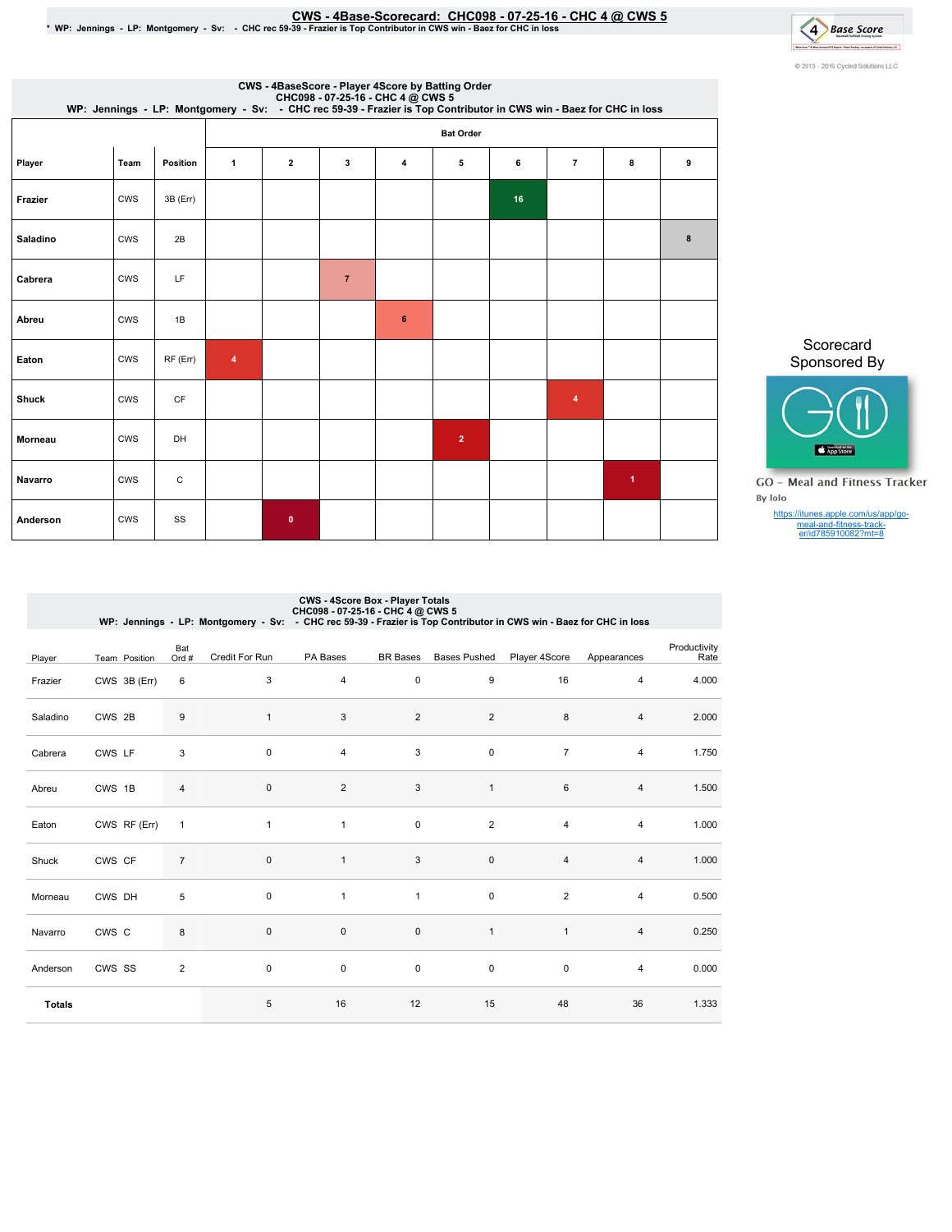## **CWS - 4Base-Scorecard: CHC098 - 07-25-16 - CHC 4 @ CWS 5** في CHC rec 59-39 - Frazier is Top Contributor in CWS win - Baez for CHC in loss



|              | CWS - 4BaseScore - Player 4Score by Batting Order<br>CHC098 - 07-25-16 - CHC 4 @ CWS 5<br>WP: Jennings - LP: Montgomery - Sv: - CHC rec 59-39 - Frazier is Top Contributor in CWS win - Baez for CHC in loss |             |              |                  |                |         |             |    |                |                      |   |  |  |  |
|--------------|--------------------------------------------------------------------------------------------------------------------------------------------------------------------------------------------------------------|-------------|--------------|------------------|----------------|---------|-------------|----|----------------|----------------------|---|--|--|--|
|              |                                                                                                                                                                                                              |             |              | <b>Bat Order</b> |                |         |             |    |                |                      |   |  |  |  |
| Player       | Team                                                                                                                                                                                                         | Position    | $\mathbf{1}$ | $\mathbf{2}$     | 3              | 4       | 5           | 6  | $\overline{7}$ | 8                    | 9 |  |  |  |
| Frazier      | <b>CWS</b>                                                                                                                                                                                                   | 3B (Err)    |              |                  |                |         |             | 16 |                |                      |   |  |  |  |
| Saladino     | <b>CWS</b>                                                                                                                                                                                                   | 2B          |              |                  |                |         |             |    |                |                      | 8 |  |  |  |
| Cabrera      | <b>CWS</b>                                                                                                                                                                                                   | LF          |              |                  | $\overline{7}$ |         |             |    |                |                      |   |  |  |  |
| Abreu        | <b>CWS</b>                                                                                                                                                                                                   | 1B          |              |                  |                | $\bf 6$ |             |    |                |                      |   |  |  |  |
| Eaton        | <b>CWS</b>                                                                                                                                                                                                   | RF (Err)    | 4            |                  |                |         |             |    |                |                      |   |  |  |  |
| <b>Shuck</b> | <b>CWS</b>                                                                                                                                                                                                   | CF          |              |                  |                |         |             |    | 4              |                      |   |  |  |  |
| Morneau      | <b>CWS</b>                                                                                                                                                                                                   | <b>DH</b>   |              |                  |                |         | $\mathbf 2$ |    |                |                      |   |  |  |  |
| Navarro      | <b>CWS</b>                                                                                                                                                                                                   | $\mathbf C$ |              |                  |                |         |             |    |                | $\blacktriangleleft$ |   |  |  |  |
| Anderson     | <b>CWS</b>                                                                                                                                                                                                   | SS          |              | $\mathbf{0}$     |                |         |             |    |                |                      |   |  |  |  |

Scorecard Sponsored By



**GO** - Meal and Fitness Tracker By Iolo

https://itunes.apple.com/us/app/go-meal-and-fitness-track-er/id785910082?mt=8

## CWS - 4Score Box - Player Totals<br>CHC098 - 07-25-16 - CHC099 - SCOR - 07-25-16<br>WP: Jennings - LP: Montgomery - Sv: - CHC rec 59-39 - Frazier is Top Contributor in CWS win - Baez for CHC in loss

| Player        | Team Position | Bat<br>Ord #     | Credit For Run | PA Bases       | <b>BR Bases</b>           | <b>Bases Pushed</b> | Player 4Score  | Appearances    | Productivity<br>Rate |
|---------------|---------------|------------------|----------------|----------------|---------------------------|---------------------|----------------|----------------|----------------------|
| Frazier       | CWS 3B (Err)  | 6                | 3              | 4              | $\pmb{0}$                 | 9                   | 16             | 4              | 4.000                |
| Saladino      | CWS 2B        | $\boldsymbol{9}$ | $\mathbf{1}$   | 3              | $\overline{c}$            | $\overline{c}$      | 8              | $\overline{4}$ | 2.000                |
| Cabrera       | CWS LF        | 3                | $\pmb{0}$      | 4              | 3                         | $\pmb{0}$           | $\overline{7}$ | 4              | 1.750                |
| Abreu         | CWS 1B        | $\overline{4}$   | $\pmb{0}$      | $\overline{2}$ | 3                         | $\mathbf{1}$        | 6              | $\overline{4}$ | 1.500                |
| Eaton         | CWS RF (Err)  | $\mathbf{1}$     | $\mathbf{1}$   | $\mathbf{1}$   | $\pmb{0}$                 | $\overline{2}$      | $\overline{4}$ | $\overline{4}$ | 1.000                |
| Shuck         | CWS CF        | $\overline{7}$   | $\pmb{0}$      | $\mathbf{1}$   | $\ensuremath{\mathsf{3}}$ | $\pmb{0}$           | $\sqrt{4}$     | $\overline{4}$ | 1.000                |
| Morneau       | CWS DH        | $\,$ 5 $\,$      | $\pmb{0}$      | $\mathbf{1}$   | $\mathbf{1}$              | $\pmb{0}$           | 2              | $\overline{4}$ | 0.500                |
| Navarro       | CWS C         | 8                | $\pmb{0}$      | $\mathbf 0$    | $\pmb{0}$                 | $\mathbf{1}$        | $\mathbf{1}$   | 4              | 0.250                |
| Anderson      | CWS SS        | $\overline{2}$   | $\pmb{0}$      | 0              | $\pmb{0}$                 | $\pmb{0}$           | $\pmb{0}$      | $\overline{4}$ | 0.000                |
| <b>Totals</b> |               |                  | 5              | 16             | 12                        | 15                  | 48             | 36             | 1.333                |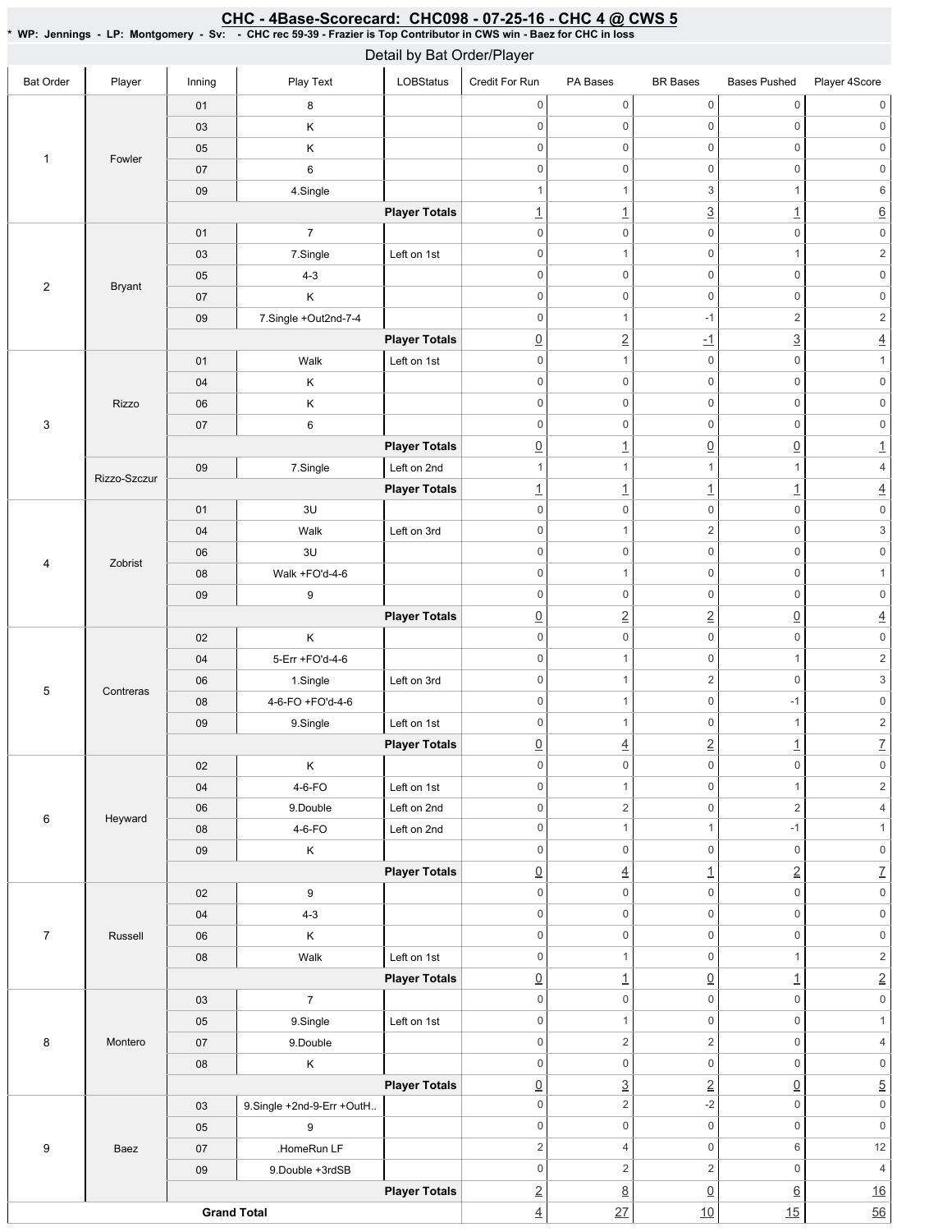#### \*WP:Jennings-LP:Montgomery-Sv: -CHCrec59-39-FrazierisTopContributorinCWSwin-BaezforCHCinloss Bat Order | Player | Inning | PlayText | LOBStatus Credit For Run PA Bases BR Bases Bases Pushed Player 4Score 1 Fowler 01 8 03 K 05 K 07 6 09 | 4.Single **Player Totals** 2 Bryant 01 7 03 7.Single Left on 1st 05 4-3 07 K 09 7.Single +Out2nd-7-4 **Player Totals** 3 Rizzo 01 | Walk Left on 1st 04 K 06 K 07 6 **Player Totals** Rizzo-Szczur 09 | 7.Single | Left on 2nd **Player Totals** 4 Zobrist 01 3U 04 | Walk Left on 3rd 06 3U 08 Walk + FO'd-4-6 09 9 **Player Totals** 5 Contreras 02 K 04 5-Err + FO'd-4-6 06 | 1.Single | Left on 3rd 08 4-6-FO + FO'd-4-6 09 9.Single Left on 1st **Player Totals** 6 Heyward 02 K 04 4-6-FO Left on 1st 06 | 9.Double | Left on 2nd 08 4-6-FO Left on 2nd 09 K **Player Totals** 7 Russell 02 9 04 4-3 06 K 08 | Walk Left on 1st **Player Totals** 8 Montero 03 7 05 | 9.Single | Left on 1st 07 | 9.Double 08 K **Player Totals** 9 Baez 03 9.Single +2nd-9-Err +OutH.. 05 9 07 | .HomeRun LF 09 9.Double +3rdSB 0 0 0 0 0 0 0 0 0 0 0 0 0 0 0 0 0 0 0 0 0 0 0 0 1  $1$  3 1 6  $\frac{1}{1}$   $\frac{3}{1}$   $\frac{1}{1}$   $\frac{6}{1}$ 0 0 0 0 0 0 0 1 0 1 2 0 0 0 0 0 0 0 0 0 0 0 0 0  $1$  -1 2 2 2  $\boxed{0}$   $\boxed{2}$   $\boxed{1}$   $\boxed{3}$   $\boxed{4}$ 0 0 1 0 1 0 0 0 0 0 0 0 0 0 0 0 0 0 0 0 0 0 0  $\boxed{0}$  1  $\boxed{0}$   $\boxed{0}$  1 1  $1$  1 1 4 1 1  $1$   $1$   $1$   $1$   $1$ 0 0 0 0 0 0 0 1 2 0 3 0 0 0 0 0 0 0 0 0 1 0 0 0 0 0 0 0 2 2 0 4 0 0 0 0 0 0 0 1 0 1 2 0 1 2 0 3 0 1 0 -1 0 0 1 0 1 2  $\boxed{0}$   $\boxed{4}$   $\boxed{2}$   $\boxed{1}$   $\boxed{7}$ 0 0 0 0 0 0 0 1 0 1 2  $0 \qquad \qquad 2 \qquad \qquad 0 \qquad \qquad 2 \qquad \qquad 4$ 0 1  $1$  1  $-1$  1 0 0 0 0 0 0  $\boxed{0}$  4  $\boxed{1}$  2  $\boxed{7}$ 0 0 0 0 0 0 0 0 0 0 0 0 0 0 0 0 0 0 0 1 0 1 2  $\boxed{0}$  1  $\boxed{0}$  1  $\boxed{1}$  2 0 0 0 0 0 0 0 0 0 1  $0 \qquad \qquad 2 \qquad \qquad 2 \qquad \qquad 0 \qquad \qquad 4$ 0 0 0 0 0 0  $\boxed{0}$   $\boxed{3}$   $\boxed{2}$   $\boxed{0}$   $\boxed{5}$ 0  $2$  -2 0 0 0 0 0 0 0 0 2 4 0 6 12  $0 \qquad \qquad 2 \qquad \qquad 2 \qquad \qquad 0 \qquad \qquad 4$ Detail by Bat Order/Player

**Player Totals** 

<u>2 8 0 6 16 16 1</u>  $\frac{4}{10}$  27  $\frac{10}{56}$ 

**Grand Total** 

### <u>CHC - 4Base-Scorecard: CHC098 - 07-25-16 - CHC 4 @ CWS 5</u>